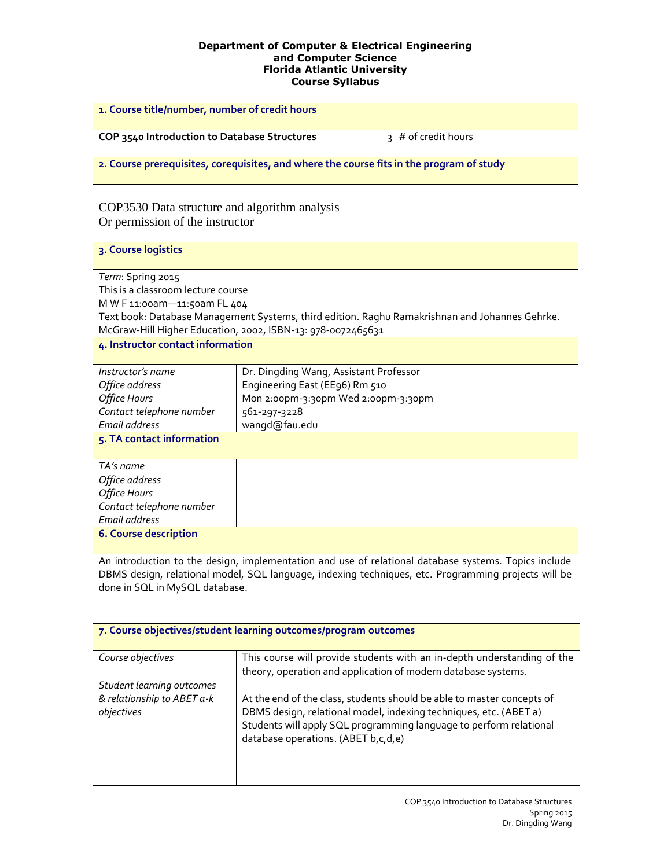#### **Department of Computer & Electrical Engineering and Computer Science Florida Atlantic University Course Syllabus**

| 1. Course title/number, number of credit hours                                                                                                         |                                                                                                           |                                                                                                                                                                                                                   |
|--------------------------------------------------------------------------------------------------------------------------------------------------------|-----------------------------------------------------------------------------------------------------------|-------------------------------------------------------------------------------------------------------------------------------------------------------------------------------------------------------------------|
| COP 3540 Introduction to Database Structures                                                                                                           |                                                                                                           | 3 # of credit hours                                                                                                                                                                                               |
|                                                                                                                                                        |                                                                                                           | 2. Course prerequisites, corequisites, and where the course fits in the program of study                                                                                                                          |
| COP3530 Data structure and algorithm analysis<br>Or permission of the instructor                                                                       |                                                                                                           |                                                                                                                                                                                                                   |
| 3. Course logistics                                                                                                                                    |                                                                                                           |                                                                                                                                                                                                                   |
| Term: Spring 2015<br>This is a classroom lecture course<br>M W F 11:00am-11:50am FL 404<br>McGraw-Hill Higher Education, 2002, ISBN-13: 978-0072465631 |                                                                                                           | Text book: Database Management Systems, third edition. Raghu Ramakrishnan and Johannes Gehrke.                                                                                                                    |
| 4. Instructor contact information                                                                                                                      |                                                                                                           |                                                                                                                                                                                                                   |
| Instructor's name<br>Office address<br><b>Office Hours</b><br>Contact telephone number<br>Email address                                                | Dr. Dingding Wang, Assistant Professor<br>Engineering East (EE96) Rm 510<br>561-297-3228<br>wangd@fau.edu | Mon 2:00pm-3:30pm Wed 2:00pm-3:30pm                                                                                                                                                                               |
| 5. TA contact information                                                                                                                              |                                                                                                           |                                                                                                                                                                                                                   |
| TA's name<br>Office address<br><b>Office Hours</b><br>Contact telephone number<br>Email address                                                        |                                                                                                           |                                                                                                                                                                                                                   |
| <b>6. Course description</b>                                                                                                                           |                                                                                                           |                                                                                                                                                                                                                   |
| done in SQL in MySQL database.                                                                                                                         |                                                                                                           | An introduction to the design, implementation and use of relational database systems. Topics include<br>DBMS design, relational model, SQL language, indexing techniques, etc. Programming projects will be       |
| 7. Course objectives/student learning outcomes/program outcomes                                                                                        |                                                                                                           |                                                                                                                                                                                                                   |
| Course objectives                                                                                                                                      |                                                                                                           | This course will provide students with an in-depth understanding of the<br>theory, operation and application of modern database systems.                                                                          |
| Student learning outcomes<br>& relationship to ABET a-k<br>objectives                                                                                  | database operations. (ABET b, c, d, e)                                                                    | At the end of the class, students should be able to master concepts of<br>DBMS design, relational model, indexing techniques, etc. (ABET a)<br>Students will apply SQL programming language to perform relational |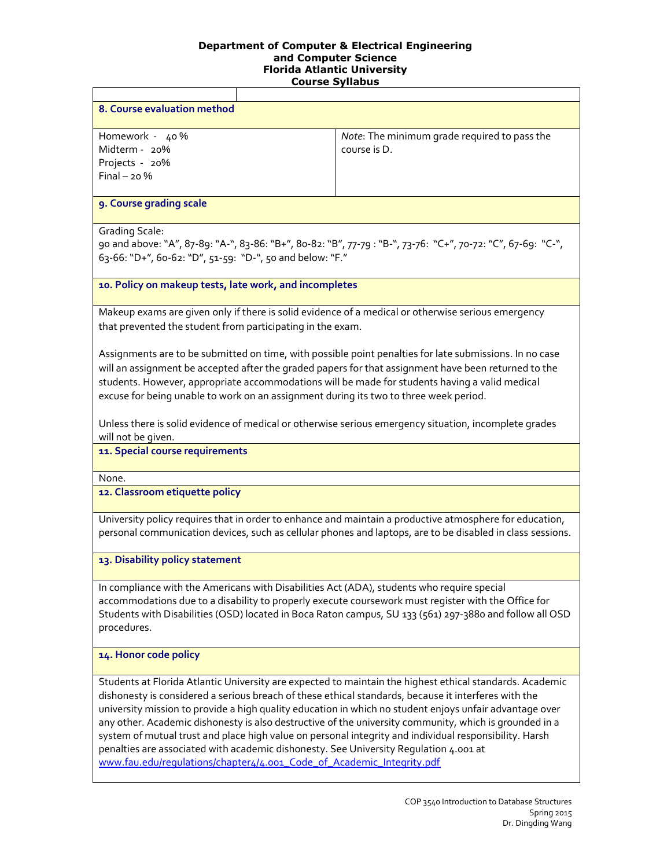## **Department of Computer & Electrical Engineering and Computer Science Florida Atlantic University**

|                                                                                                                                                                                                                                                                                                                                                                                                                                                                                                                                                                                                                                                                                                                   | <b>Course Syllabus</b>                                                                                     |  |  |  |
|-------------------------------------------------------------------------------------------------------------------------------------------------------------------------------------------------------------------------------------------------------------------------------------------------------------------------------------------------------------------------------------------------------------------------------------------------------------------------------------------------------------------------------------------------------------------------------------------------------------------------------------------------------------------------------------------------------------------|------------------------------------------------------------------------------------------------------------|--|--|--|
|                                                                                                                                                                                                                                                                                                                                                                                                                                                                                                                                                                                                                                                                                                                   |                                                                                                            |  |  |  |
| 8. Course evaluation method                                                                                                                                                                                                                                                                                                                                                                                                                                                                                                                                                                                                                                                                                       |                                                                                                            |  |  |  |
| Homework - 40%<br>Midterm - 20%<br>Projects - 20%<br>$Final - 20%$                                                                                                                                                                                                                                                                                                                                                                                                                                                                                                                                                                                                                                                | Note: The minimum grade required to pass the<br>course is D.                                               |  |  |  |
| 9. Course grading scale                                                                                                                                                                                                                                                                                                                                                                                                                                                                                                                                                                                                                                                                                           |                                                                                                            |  |  |  |
| <b>Grading Scale:</b><br>90 and above: "A", 87-89: "A-", 83-86: "B+", 80-82: "B", 77-79: "B-", 73-76: "C+", 70-72: "C", 67-69: "C-",<br>63-66: "D+", 60-62: "D", 51-59: "D-", 50 and below: "F."                                                                                                                                                                                                                                                                                                                                                                                                                                                                                                                  |                                                                                                            |  |  |  |
| 10. Policy on makeup tests, late work, and incompletes                                                                                                                                                                                                                                                                                                                                                                                                                                                                                                                                                                                                                                                            |                                                                                                            |  |  |  |
| Makeup exams are given only if there is solid evidence of a medical or otherwise serious emergency<br>that prevented the student from participating in the exam.                                                                                                                                                                                                                                                                                                                                                                                                                                                                                                                                                  |                                                                                                            |  |  |  |
| Assignments are to be submitted on time, with possible point penalties for late submissions. In no case<br>will an assignment be accepted after the graded papers for that assignment have been returned to the<br>students. However, appropriate accommodations will be made for students having a valid medical<br>excuse for being unable to work on an assignment during its two to three week period.                                                                                                                                                                                                                                                                                                        |                                                                                                            |  |  |  |
| Unless there is solid evidence of medical or otherwise serious emergency situation, incomplete grades<br>will not be given.                                                                                                                                                                                                                                                                                                                                                                                                                                                                                                                                                                                       |                                                                                                            |  |  |  |
| 11. Special course requirements                                                                                                                                                                                                                                                                                                                                                                                                                                                                                                                                                                                                                                                                                   |                                                                                                            |  |  |  |
| None.                                                                                                                                                                                                                                                                                                                                                                                                                                                                                                                                                                                                                                                                                                             |                                                                                                            |  |  |  |
| 12. Classroom etiquette policy                                                                                                                                                                                                                                                                                                                                                                                                                                                                                                                                                                                                                                                                                    |                                                                                                            |  |  |  |
| University policy requires that in order to enhance and maintain a productive atmosphere for education,                                                                                                                                                                                                                                                                                                                                                                                                                                                                                                                                                                                                           | personal communication devices, such as cellular phones and laptops, are to be disabled in class sessions. |  |  |  |
| 13. Disability policy statement                                                                                                                                                                                                                                                                                                                                                                                                                                                                                                                                                                                                                                                                                   |                                                                                                            |  |  |  |
| In compliance with the Americans with Disabilities Act (ADA), students who require special<br>accommodations due to a disability to properly execute coursework must register with the Office for<br>procedures.                                                                                                                                                                                                                                                                                                                                                                                                                                                                                                  | Students with Disabilities (OSD) located in Boca Raton campus, SU 133 (561) 297-3880 and follow all OSD    |  |  |  |
| 14. Honor code policy                                                                                                                                                                                                                                                                                                                                                                                                                                                                                                                                                                                                                                                                                             |                                                                                                            |  |  |  |
| Students at Florida Atlantic University are expected to maintain the highest ethical standards. Academic<br>dishonesty is considered a serious breach of these ethical standards, because it interferes with the<br>university mission to provide a high quality education in which no student enjoys unfair advantage over<br>any other. Academic dishonesty is also destructive of the university community, which is grounded in a<br>system of mutual trust and place high value on personal integrity and individual responsibility. Harsh<br>penalties are associated with academic dishonesty. See University Regulation 4.001 at<br>www.fau.edu/regulations/chapter4/4.001_Code_of_Academic_Integrity.pdf |                                                                                                            |  |  |  |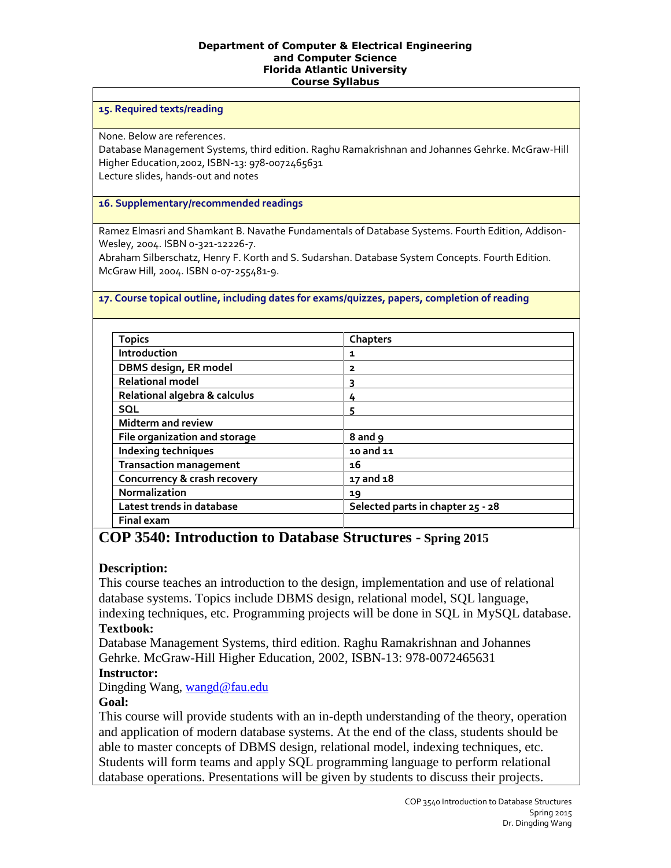#### **Department of Computer & Electrical Engineering and Computer Science Florida Atlantic University Course Syllabus**

### **15. Required texts/reading**

None. Below are references.

Database Management Systems, third edition. Raghu Ramakrishnan and Johannes Gehrke. McGraw-Hill Higher Education,2002, ISBN-13: 978-0072465631 Lecture slides, hands-out and notes

### **16. Supplementary/recommended readings**

Ramez Elmasri and Shamkant B. Navathe Fundamentals of Database Systems. Fourth Edition, Addison-Wesley, 2004. ISBN 0-321-12226-7.

Abraham Silberschatz, Henry F. Korth and S. Sudarshan. Database System Concepts. Fourth Edition. McGraw Hill, 2004. ISBN 0-07-255481-9.

### **17. Course topical outline, including dates for exams/quizzes, papers, completion of reading**

| <b>Topics</b>                 | Chapters                          |
|-------------------------------|-----------------------------------|
| Introduction                  | 1                                 |
| DBMS design, ER model         | 2                                 |
| <b>Relational model</b>       | 3                                 |
| Relational algebra & calculus | 4                                 |
| <b>SQL</b>                    | 5                                 |
| <b>Midterm and review</b>     |                                   |
| File organization and storage | 8 and 9                           |
| Indexing techniques           | 10 and 11                         |
| <b>Transaction management</b> | 16                                |
| Concurrency & crash recovery  | 17 and 18                         |
| <b>Normalization</b>          | 19                                |
| Latest trends in database     | Selected parts in chapter 25 - 28 |
| <b>Final exam</b>             |                                   |

# **COP 3540: Introduction to Database Structures - Spring 2015**

## **Description:**

This course teaches an introduction to the design, implementation and use of relational database systems. Topics include DBMS design, relational model, SQL language, indexing techniques, etc. Programming projects will be done in SQL in MySQL database.

### **Textbook:**

Database Management Systems, third edition. Raghu Ramakrishnan and Johannes Gehrke. McGraw-Hill Higher Education, 2002, ISBN-13: 978-0072465631 **Instructor:** 

Dingding Wang, [wangd@fau.edu](mailto:wangd@fau.edu)

## **Goal:**

This course will provide students with an in-depth understanding of the theory, operation and application of modern database systems. At the end of the class, students should be able to master concepts of DBMS design, relational model, indexing techniques, etc. Students will form teams and apply SQL programming language to perform relational database operations. Presentations will be given by students to discuss their projects.